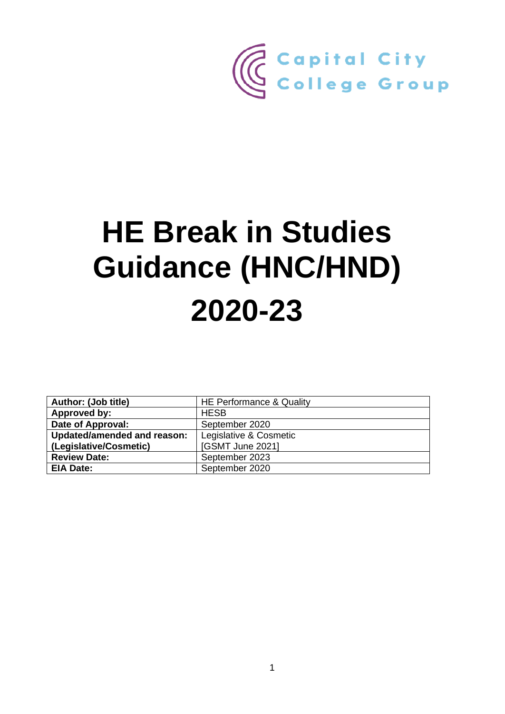

# **HE Break in Studies Guidance (HNC/HND) 2020-23**

| Author: (Job title)         | <b>HE Performance &amp; Quality</b> |
|-----------------------------|-------------------------------------|
| Approved by:                | <b>HESB</b>                         |
| Date of Approval:           | September 2020                      |
| Updated/amended and reason: | Legislative & Cosmetic              |
| (Legislative/Cosmetic)      | [GSMT June 2021]                    |
| <b>Review Date:</b>         | September 2023                      |
| <b>EIA Date:</b>            | September 2020                      |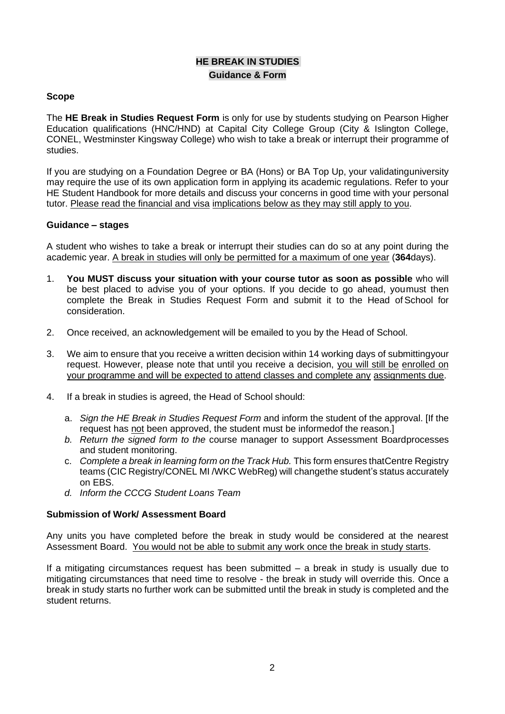## **HE BREAK IN STUDIES Guidance & Form**

#### **Scope**

The **HE Break in Studies Request Form** is only for use by students studying on Pearson Higher Education qualifications (HNC/HND) at Capital City College Group (City & Islington College, CONEL, Westminster Kingsway College) who wish to take a break or interrupt their programme of studies.

If you are studying on a Foundation Degree or BA (Hons) or BA Top Up, your validatinguniversity may require the use of its own application form in applying its academic regulations. Refer to your HE Student Handbook for more details and discuss your concerns in good time with your personal tutor. Please read the financial and visa implications below as they may still apply to you.

#### **Guidance – stages**

A student who wishes to take a break or interrupt their studies can do so at any point during the academic year. A break in studies will only be permitted for a maximum of one year (**364**days).

- 1. **You MUST discuss your situation with your course tutor as soon as possible** who will be best placed to advise you of your options. If you decide to go ahead, youmust then complete the Break in Studies Request Form and submit it to the Head of School for consideration.
- 2. Once received, an acknowledgement will be emailed to you by the Head of School.
- 3. We aim to ensure that you receive a written decision within 14 working days of submittingyour request. However, please note that until you receive a decision, you will still be enrolled on your programme and will be expected to attend classes and complete any assignments due.
- 4. If a break in studies is agreed, the Head of School should:
	- a. *Sign the HE Break in Studies Request Form* and inform the student of the approval. [If the request has not been approved, the student must be informedof the reason.]
	- *b. Return the signed form to the* course manager to support Assessment Boardprocesses and student monitoring.
	- c. *Complete a break in learning form on the Track Hub.* This form ensures thatCentre Registry teams (CIC Registry/CONEL MI /WKC WebReg) will changethe student's status accurately on EBS.
	- *d. Inform the CCCG Student Loans Team*

#### **Submission of Work/ Assessment Board**

Any units you have completed before the break in study would be considered at the nearest Assessment Board. You would not be able to submit any work once the break in study starts.

If a mitigating circumstances request has been submitted – a break in study is usually due to mitigating circumstances that need time to resolve - the break in study will override this. Once a break in study starts no further work can be submitted until the break in study is completed and the student returns.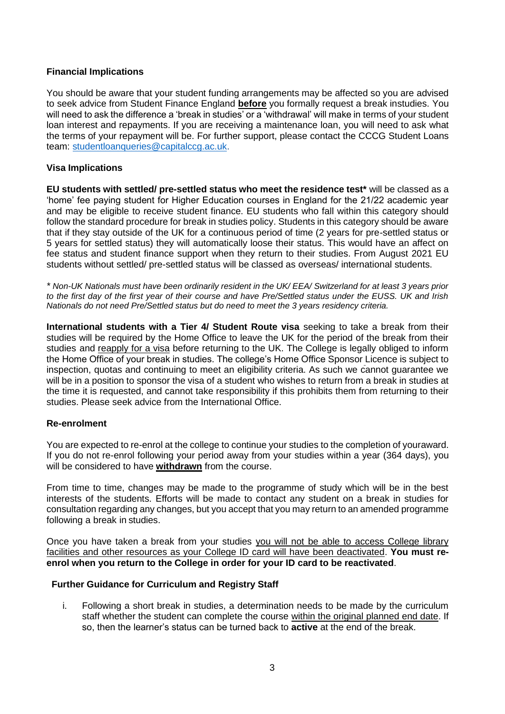#### **Financial Implications**

You should be aware that your student funding arrangements may be affected so you are advised to seek advice from Student Finance England **before** you formally request a break instudies. You will need to ask the difference a 'break in studies' or a 'withdrawal' will make in terms of your student loan interest and repayments. If you are receiving a maintenance loan, you will need to ask what the terms of your repayment will be. For further support, please contact the CCCG Student Loans team: [studentloanqueries@capitalccg.ac.uk.](mailto:studentloanqueries@capitalccg.ac.uk)

### **Visa Implications**

**EU students with settled/ pre-settled status who meet the residence test\*** will be classed as a 'home' fee paying student for Higher Education courses in England for the 21/22 academic year and may be eligible to receive student finance. EU students who fall within this category should follow the standard procedure for break in studies policy. Students in this category should be aware that if they stay outside of the UK for a continuous period of time (2 years for pre-settled status or 5 years for settled status) they will automatically loose their status. This would have an affect on fee status and student finance support when they return to their studies. From August 2021 EU students without settled/ pre-settled status will be classed as overseas/ international students.

*\* Non-UK Nationals must have been ordinarily resident in the UK/ EEA/ Switzerland for at least 3 years prior to the first day of the first year of their course and have Pre/Settled status under the EUSS. UK and Irish Nationals do not need Pre/Settled status but do need to meet the 3 years residency criteria.*

**International students with a Tier 4/ Student Route visa** seeking to take a break from their studies will be required by the Home Office to leave the UK for the period of the break from their studies and reapply for a visa before returning to the UK. The College is legally obliged to inform the Home Office of your break in studies. The college's Home Office Sponsor Licence is subject to inspection, quotas and continuing to meet an eligibility criteria. As such we cannot guarantee we will be in a position to sponsor the visa of a student who wishes to return from a break in studies at the time it is requested, and cannot take responsibility if this prohibits them from returning to their studies. Please seek advice from the International Office.

#### **Re-enrolment**

You are expected to re-enrol at the college to continue your studies to the completion of youraward. If you do not re-enrol following your period away from your studies within a year (364 days), you will be considered to have **withdrawn** from the course.

From time to time, changes may be made to the programme of study which will be in the best interests of the students. Efforts will be made to contact any student on a break in studies for consultation regarding any changes, but you accept that you may return to an amended programme following a break in studies.

Once you have taken a break from your studies you will not be able to access College library facilities and other resources as your College ID card will have been deactivated. **You must reenrol when you return to the College in order for your ID card to be reactivated**.

#### **Further Guidance for Curriculum and Registry Staff**

i. Following a short break in studies, a determination needs to be made by the curriculum staff whether the student can complete the course within the original planned end date. If so, then the learner's status can be turned back to **active** at the end of the break.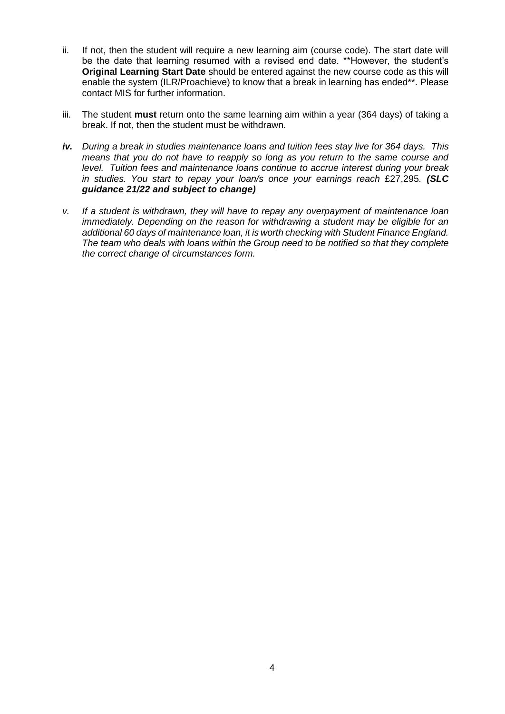- ii. If not, then the student will require a new learning aim (course code). The start date will be the date that learning resumed with a revised end date. \*\*However, the student's **Original Learning Start Date** should be entered against the new course code as this will enable the system (ILR/Proachieve) to know that a break in learning has ended\*\*. Please contact MIS for further information.
- iii. The student **must** return onto the same learning aim within a year (364 days) of taking a break. If not, then the student must be withdrawn.
- *iv. During a break in studies maintenance loans and tuition fees stay live for 364 days. This means that you do not have to reapply so long as you return to the same course and level. Tuition fees and maintenance loans continue to accrue interest during your break in studies. You start to repay your loan/s once your earnings reach* £27,295*. (SLC guidance 21/22 and subject to change)*
- *v. If a student is withdrawn, they will have to repay any overpayment of maintenance loan immediately. Depending on the reason for withdrawing a student may be eligible for an additional 60 days of maintenance loan, it is worth checking with Student Finance England. The team who deals with loans within the Group need to be notified so that they complete the correct change of circumstances form.*